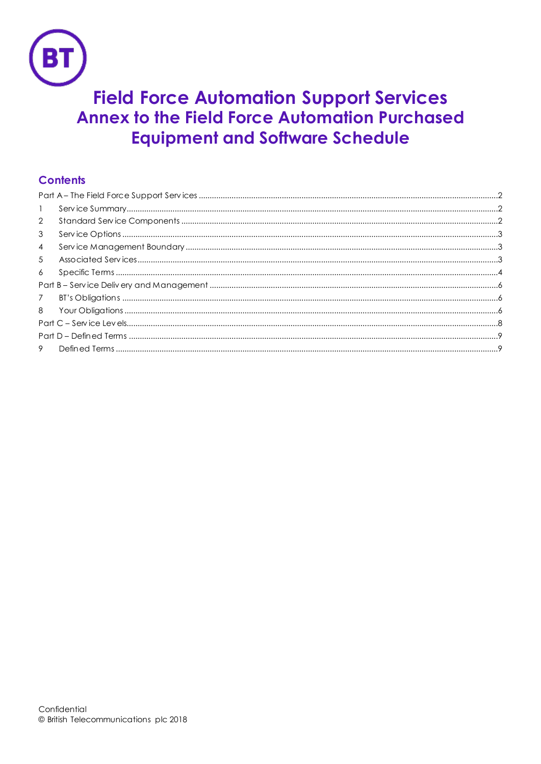

# **Field Force Automation Support Services Annex to the Field Force Automation Purchased Equipment and Software Schedule**

# **Contents**

| $\mathbf{1}$   |  |  |
|----------------|--|--|
| 2              |  |  |
| 3              |  |  |
| $\overline{4}$ |  |  |
| 5              |  |  |
| 6              |  |  |
|                |  |  |
| 7              |  |  |
| 8              |  |  |
|                |  |  |
|                |  |  |
| 9              |  |  |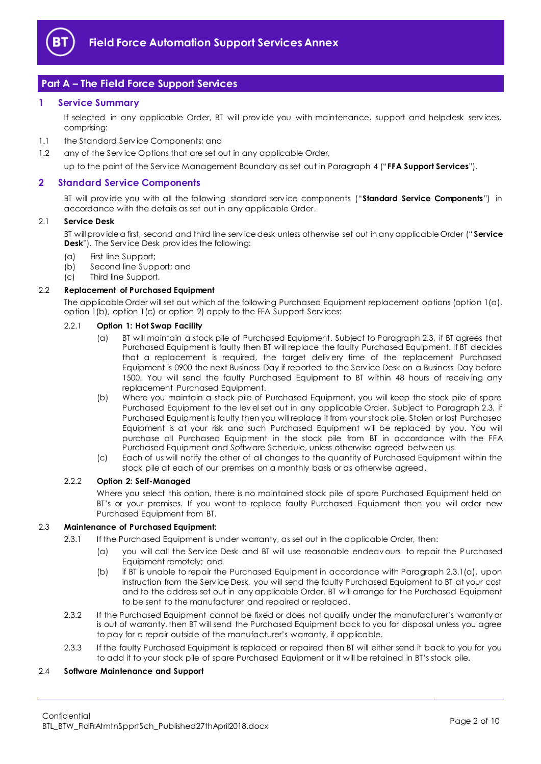

# <span id="page-1-0"></span>**Part A – The Field Force Support Services**

## <span id="page-1-1"></span>**1 Service Summary**

If selected in any applicable Order, BT will prov ide you with maintenance, support and helpdesk serv ices, comprising:

- 1.1 the Standard Serv ice Components; and
- 1.2 any of the Service Options that are set out in any applicable Order,

up to the point of the Serv ice Management Boundary as set out in Paragraph [4](#page-2-1) ("**FFA Support Services**").

## <span id="page-1-2"></span>**2 Standard Service Components**

BT will prov ide you with all the following standard serv ice components ("**Standard Service Components**") in accordance with the details as set out in any applicable Order.

#### 2.1 **Service Desk**

BT will prov ide a first, second and third line serv ice desk unless otherwise set out in any applicable Order (" **Service Desk**"). The Serv ice Desk prov ides the following:

- (a) First line Support;
- (b) Second line Support; and
- (c) Third line Support.

#### 2.2 **Replacement of Purchased Equipment**

The applicable Order will set out which of the following Purchased Equipment replacement options (option 1(a), option 1(b), option 1(c) or option 2) apply to the FFA Support Serv ices:

## 2.2.1 **Option 1: Hot Swap Facility**

- (a) BT will maintain a stock pile of Purchased Equipment. Subject to Paragraph 2.3, if BT agrees that Purchased Equipment is faulty then BT will replace the faulty Purchased Equipment. If BT decides that a replacement is required, the target deliv ery time of the replacement Purchased Equipment is 0900 the next Business Day if reported to the Serv ice Desk on a Business Day before 1500. You will send the faulty Purchased Equipment to BT within 48 hours of receiv ing any replacement Purchased Equipment.
- (b) Where you maintain a stock pile of Purchased Equipment, you will keep the stock pile of spare Purchased Equipment to the lev el set out in any applicable Order. Subject to Paragraph 2.3, if Purchased Equipment is faulty then you will replace it from your stock pile. Stolen or lost Purchased Equipment is at your risk and such Purchased Equipment will be replaced by you. You will purchase all Purchased Equipment in the stock pile from BT in accordance with the FFA Purchased Equipment and Software Schedule, unless otherwise agreed between us.
- (c) Each of us will notify the other of all changes to the quantity of Purchased Equipment within the stock pile at each of our premises on a monthly basis or as otherwise agreed.

## 2.2.2 **Option 2: Self-Managed**

Where you select this option, there is no maintained stock pile of spare Purchased Equipment held on BT's or your premises. If you want to replace faulty Purchased Equipment then you will order new Purchased Equipment from BT.

#### 2.3 **Maintenance of Purchased Equipment:**

- 2.3.1 If the Purchased Equipment is under warranty, as set out in the applicable Order, then:
	- (a) you will call the Serv ice Desk and BT will use reasonable endeav ours to repair the Purchased Equipment remotely; and
	- (b) if BT is unable to repair the Purchased Equipment in accordance with Paragraph 2.3.1(a), upon instruction from the Serv ice Desk, you will send the faulty Purchased Equipment to BT at your cost and to the address set out in any applicable Order. BT will arrange for the Purchased Equipment to be sent to the manufacturer and repaired or replaced.
- 2.3.2 If the Purchased Equipment cannot be fixed or does not qualify under the manufacturer's warranty or is out of warranty, then BT will send the Purchased Equipment back to you for disposal unless you agree to pay for a repair outside of the manufacturer's warranty, if applicable.
- 2.3.3 If the faulty Purchased Equipment is replaced or repaired then BT will either send it back to you for you to add it to your stock pile of spare Purchased Equipment or it will be retained in BT's stock pile.

## 2.4 **Software Maintenance and Support**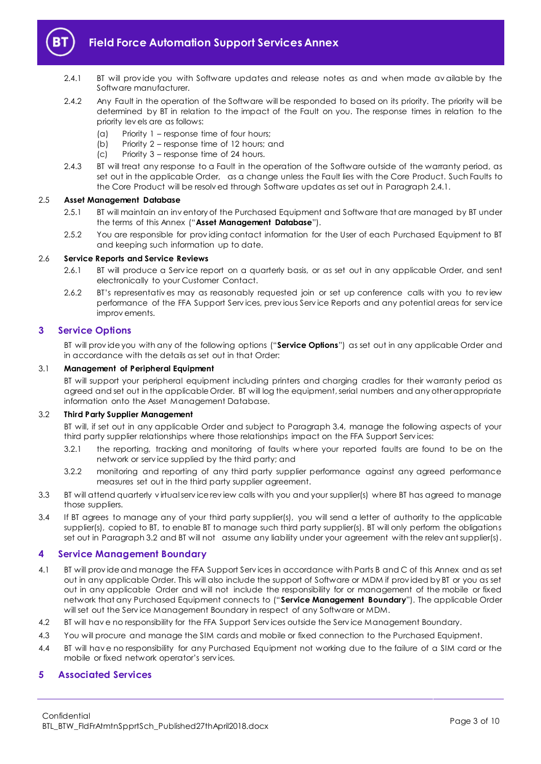

- 2.4.1 BT will provide you with Software updates and release notes as and when made av ailable by the Software manufacturer.
- 2.4.2 Any Fault in the operation of the Software will be responded to based on its priority. The priority will be determined by BT in relation to the impact of the Fault on you. The response times in relation to the priority lev els are as follows:
	- (a) Priority 1 response time of four hours;
	- (b) Priority 2 response time of 12 hours; and
	- (c) Priority 3 response time of 24 hours.
- 2.4.3 BT will treat any response to a Fault in the operation of the Software outside of the warranty period, as set out in the applicable Order, as a change unless the Fault lies with the Core Product. Such Faults to the Core Product will be resolv ed through Software updates as set out in Paragraph 2.4.1.

## 2.5 **Asset Management Database**

- 2.5.1 BT will maintain an inv entory of the Purchased Equipment and Software that are managed by BT under the terms of this Annex ("**Asset Management Database**").
- 2.5.2 You are responsible for prov iding contact information for the User of each Purchased Equipment to BT and keeping such information up to date.

## 2.6 **Service Reports and Service Reviews**

- 2.6.1 BT will produce a Serv ice report on a quarterly basis, or as set out in any applicable Order, and sent electronically to your Customer Contact.
- 2.6.2 BT's representativ es may as reasonably requested join or set up conference calls with you to rev iew performance of the FFA Support Serv ices, prev ious Serv ice Reports and any potential areas for serv ice improv ements.

## <span id="page-2-0"></span>**3 Service Options**

BT will prov ide you with any of the following options ("**Service Options**") as set out in any applicable Order and in accordance with the details as set out in that Order:

## 3.1 **Management of Peripheral Equipment**

BT will support your peripheral equipment including printers and charging cradles for their warranty period as agreed and set out in the applicable Order. BT will log the equipment, serial numbers and any other appropriate information onto the Asset Management Database.

## 3.2 **Third Party Supplier Management**

BT will, if set out in any applicable Order and subject to Paragraph 3.4, manage the following aspects of your third party supplier relationships where those relationships impact on the FFA Support Serv ices:

- 3.2.1 the reporting, tracking and monitoring of faults w here your reported faults are found to be on the network or serv ice supplied by the third party; and
- 3.2.2 monitoring and reporting of any third party supplier performance against any agreed performance measures set out in the third party supplier agreement.
- 3.3 BT will attend quarterly v irtual serv ice rev iew calls with you and your supplier(s) where BT has agreed to manage those suppliers.
- 3.4 If BT agrees to manage any of your third party supplier(s), you will send a letter of authority to the applicable supplier(s), copied to BT, to enable BT to manage such third party supplier(s). BT will only perform the obligations set out in Paragraph 3.2 and BT will not assume any liability under your agreement with the relev ant supplier(s).

## <span id="page-2-1"></span>**4 Service Management Boundary**

- 4.1 BT will prov ide and manage the FFA Support Serv ices in accordance with Parts B and C of this Annex and as set out in any applicable Order. This will also include the support of Software or MDM if prov ided by BT or you as set out in any applicable Order and will not include the responsibility for or management of the mobile or fixed network that any Purchased Equipment connects to ("**Service Management Boundary**"). The applicable Order will set out the Serv ice Management Boundary in respect of any Software or MDM.
- 4.2 BT will have no responsibility for the FFA Support Services outside the Service Management Boundary.
- 4.3 You will procure and manage the SIM cards and mobile or fixed connection to the Purchased Equipment.
- 4.4 BT will hav e no responsibility for any Purchased Equipment not working due to the failure of a SIM card or the mobile or fixed network operator's serv ices.

## <span id="page-2-2"></span>**5 Associated Services**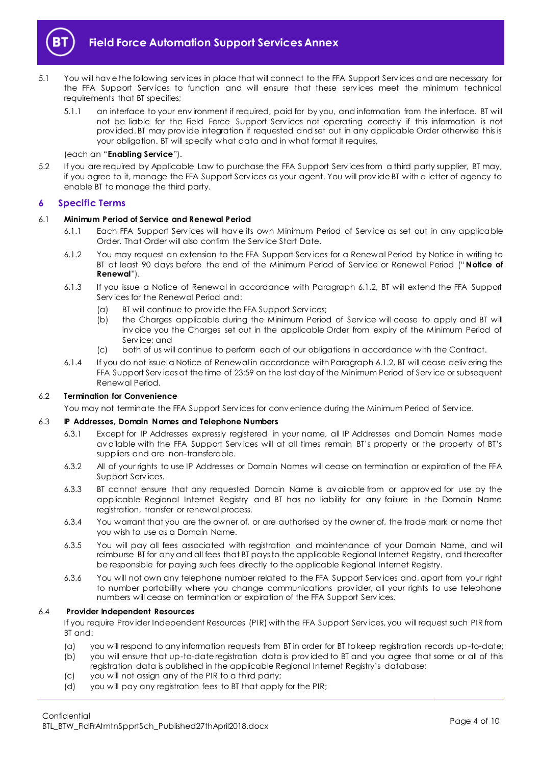

- 5.1 You will hav e the following serv ices in place that will connect to the FFA Support Serv ices and are necessary for the FFA Support Services to function and will ensure that these services meet the minimum technical requirements that BT specifies;
	- 5.1.1 an interface to your env ironment if required, paid for by you, and information from the interface. BT will not be liable for the Field Force Support Services not operating correctly if this information is not prov ided. BT may prov ide integration if requested and set out in any applicable Order otherwise this is your obligation. BT will specify what data and in what format it requires,

## (each an "**Enabling Service**").

5.2 If you are required by Applicable Law to purchase the FFA Support Serv icesfrom a third party supplier, BT may, if you agree to it, manage the FFA Support Serv ices as your agent. You will prov ide BT with a letter of agency to enable BT to manage the third party.

## <span id="page-3-0"></span>**6 Specific Terms**

#### 6.1 **Minimum Period of Service and Renewal Period**

- 6.1.1 Each FFA Support Serv ices will hav e its own Minimum Period of Serv ice as set out in any applicable Order. That Order will also confirm the Serv ice Start Date.
- 6.1.2 You may request an extension to the FFA Support Serv ices for a Renewal Period by Notice in writing to BT at least 90 days before the end of the Minimum Period of Serv ice or Renewal Period (" **Notice of Renewal**").
- 6.1.3 If you issue a Notice of Renewal in accordance with Paragraph 6.1.2, BT will extend the FFA Support Serv ices for the Renewal Period and:
	- (a) BT will continue to prov ide the FFA Support Serv ices;
	- (b) the Charges applicable during the Minimum Period of Service will cease to apply and BT will inv oice you the Charges set out in the applicable Order from expiry of the Minimum Period of Serv ice; and
	- (c) both of us will continue to perform each of our obligations in accordance with the Contract.
- 6.1.4 If you do not issue a Notice of Renewal in accordance with Paragraph 6.1.2, BT will cease deliv ering the FFA Support Services at the time of 23:59 on the last day of the Minimum Period of Service or subsequent Renewal Period.

#### 6.2 **Termination for Convenience**

You may not terminate the FFA Support Serv ices for conv enience during the Minimum Period of Serv ice.

#### 6.3 **IP Addresses, Domain Names and Telephone Numbers**

- 6.3.1 Except for IP Addresses expressly registered in your name, all IP Addresses and Domain Names made av ailable with the FFA Support Serv ices will at all times remain BT's property or the property of BT's suppliers and are non-transferable.
- 6.3.2 All of your rights to use IP Addresses or Domain Names will cease on termination or expiration of the FFA Support Serv ices.
- 6.3.3 BT cannot ensure that any requested Domain Name is av ailable from or approv ed for use by the applicable Regional Internet Registry and BT has no liability for any failure in the Domain Name registration, transfer or renewal process.
- 6.3.4 You warrant that you are the owner of, or are authorised by the owner of, the trade mark or name that you wish to use as a Domain Name.
- 6.3.5 You will pay all fees associated with registration and maintenance of your Domain Name, and will reimburse BT for any and all fees that BT pays to the applicable Regional Internet Registry, and thereafter be responsible for paying such fees directly to the applicable Regional Internet Registry.
- 6.3.6 You will not own any telephone number related to the FFA Support Serv ices and, apart from your right to number portability where you change communications prov ider, all your rights to use telephone numbers will cease on termination or expiration of the FFA Support Serv ices.

#### 6.4 **Provider Independent Resources**

If you require Prov ider Independent Resources (PIR) with the FFA Support Serv ices, you will request such PIR from BT and:

- (a) you will respond to any information requests from BT in order for BT to keep registration records up-to-date;
- (b) you will ensure that up-to-date registration data is prov ided to BT and you agree that some or all of this registration data is published in the applicable Regional Internet Registry's database;
- (c) you will not assign any of the PIR to a third party;
- (d) you will pay any registration fees to BT that apply for the PIR;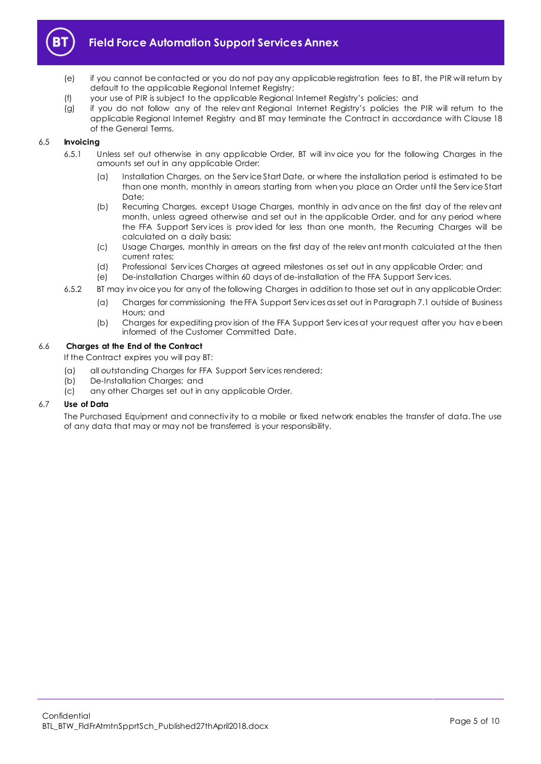

- (e) if you cannot be contacted or you do not pay any applicable registration fees to BT, the PIR will return by default to the applicable Regional Internet Registry;
- (f) your use of PIR is subject to the applicable Regional Internet Registry's policies; and
- (g) if you do not follow any of the relev ant Regional Internet Registry's policies the PIR will return to the applicable Regional Internet Registry and BT may terminate the Contract in accordance with Clause 18 of the General Terms.

## 6.5 **Invoicing**

- 6.5.1 Unless set out otherwise in any applicable Order, BT will inv oice you for the following Charges in the amounts set out in any applicable Order:
	- (a) Installation Charges, on the Serv ice Start Date, or where the installation period is estimated to be than one month, monthly in arrears starting from when you place an Order until the Serv ice Start Date:
	- (b) Recurring Charges, except Usage Charges, monthly in adv ance on the first day of the relev ant month, unless agreed otherwise and set out in the applicable Order, and for any period where the FFA Support Services is provided for less than one month, the Recurring Charges will be calculated on a daily basis;
	- (c) Usage Charges, monthly in arrears on the first day of the relev ant month calculated at the then current rates;
	- (d) Professional Serv ices Charges at agreed milestones as set out in any applicable Order; and
	- (e) De-installation Charges within 60 days of de-installation of the FFA Support Serv ices.
- 6.5.2 BT may inv oice you for any of the following Charges in addition to those set out in any applicable Order:
	- (a) Charges for commissioning the FFA Support Serv icesas set out in Paragraph 7.1 outside of Business Hours; and
		- (b) Charges for expediting prov ision of the FFA Support Serv icesat your request after you hav e been informed of the Customer Committed Date.

## 6.6 **Charges at the End of the Contract**

If the Contract expires you will pay BT:

- (a) all outstanding Charges for FFA Support Serv ices rendered;
- (b) De-Installation Charges; and
- (c) any other Charges set out in any applicable Order.

## 6.7 **Use of Data**

The Purchased Equipment and connectiv ity to a mobile or fixed network enables the transfer of data. The use of any data that may or may not be transferred is your responsibility.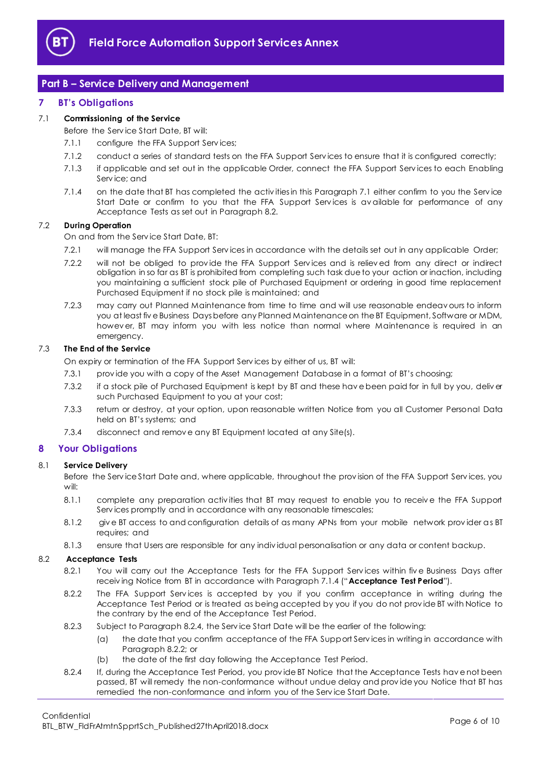

# <span id="page-5-0"></span>**Part B – Service Delivery and Management**

## <span id="page-5-1"></span>**7 BT's Obligations**

## 7.1 **Commissioning of the Service**

- Before the Serv ice Start Date, BT will:
- 7.1.1 configure the FFA Support Services;
- 7.1.2 conduct a series of standard tests on the FFA Support Services to ensure that it is configured correctly;
- 7.1.3 if applicable and set out in the applicable Order, connect the FFA Support Serv ices to each Enabling Serv ice; and
- 7.1.4 on the date that BT has completed the activ ities in this Paragraph 7.1 either confirm to you the Serv ice Start Date or confirm to you that the FFA Support Services is available for performance of any Acceptance Tests as set out in Paragraph 8.2.

## 7.2 **During Operation**

On and from the Serv ice Start Date, BT:

- 7.2.1 will manage the FFA Support Serv ices in accordance with the details set out in any applicable Order;
- 7.2.2 will not be obliged to prov ide the FFA Support Serv ices and is reliev ed from any direct or indirect obligation in so far as BT is prohibited from completing such task due to your action or inaction, including you maintaining a sufficient stock pile of Purchased Equipment or ordering in good time replacement Purchased Equipment if no stock pile is maintained; and
- 7.2.3 may carry out Planned Maintenance from time to time and will use reasonable endeav ours to inform you at least fiv e Business Days before any Planned Maintenance on the BT Equipment, Software or MDM, howev er, BT may inform you with less notice than normal where Maintenance is required in an emergency.

## 7.3 **The End of the Service**

On expiry or termination of the FFA Support Serv ices by either of us, BT will:

- 7.3.1 prov ide you with a copy of the Asset Management Database in a format of BT's choosing;
- 7.3.2 if a stock pile of Purchased Equipment is kept by BT and these hav e been paid for in full by you, deliv er such Purchased Equipment to you at your cost;
- 7.3.3 return or destroy, at your option, upon reasonable written Notice from you all Customer Personal Data held on BT's systems; and
- 7.3.4 disconnect and remov e any BT Equipment located at any Site(s).

## <span id="page-5-2"></span>**8 Your Obligations**

## 8.1 **Service Delivery**

Before the Serv ice Start Date and, where applicable, throughout the prov ision of the FFA Support Serv ices, you will:

- 8.1.1 complete any preparation activities that BT may request to enable you to receive the FFA Support Serv ices promptly and in accordance with any reasonable timescales;
- 8.1.2 giv e BT access to and configuration details of as many APNs from your mobile network prov ider as BT requires; and
- 8.1.3 ensure that Users are responsible for any indiv idual personalisation or any data or content backup.

## 8.2 **Acceptance Tests**

- 8.2.1 You will carry out the Acceptance Tests for the FFA Support Services within five Business Days after receiv ing Notice from BT in accordance with Paragraph 7.1.4 ("**Acceptance Test Period**").
- 8.2.2 The FFA Support Services is accepted by you if you confirm acceptance in writing during the Acceptance Test Period or is treated as being accepted by you if you do not prov ide BT with Notice to the contrary by the end of the Acceptance Test Period.
- 8.2.3 Subject to Paragraph 8.2.4, the Serv ice Start Date will be the earlier of the following:
	- (a) the date that you confirm acceptance of the FFA Support Serv ices in writing in accordance with Paragraph 8.2.2; or
	- (b) the date of the first day following the Acceptance Test Period.
- 8.2.4 If, during the Acceptance Test Period, you prov ide BT Notice that the Acceptance Tests hav e not been passed, BT will remedy the non-conformance without undue delay and prov ide you Notice that BT has remedied the non-conformance and inform you of the Serv ice Start Date.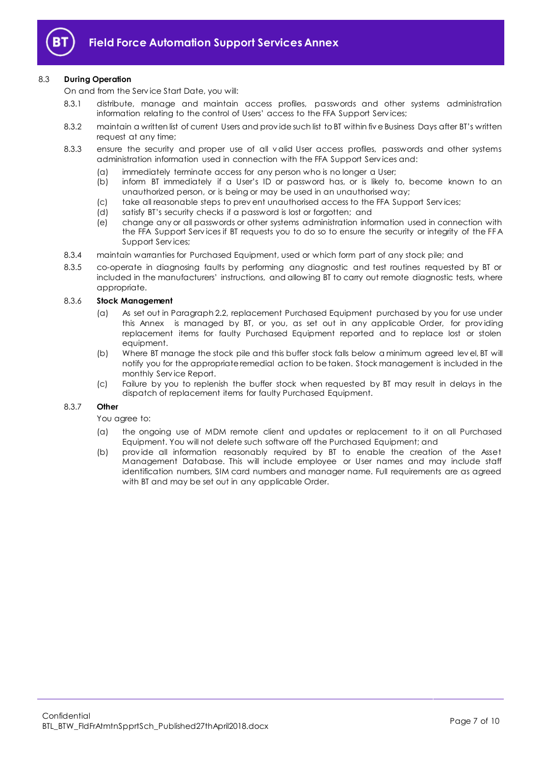

## 8.3 **During Operation**

On and from the Serv ice Start Date, you will:

- 8.3.1 distribute, manage and maintain access profiles, passwords and other systems administration information relating to the control of Users' access to the FFA Support Serv ices;
- 8.3.2 maintain a written list of current Users and provide such list to BT within five Business Days after BT's written request at any time;
- 8.3.3 ensure the security and proper use of all v alid User access profiles, passwords and other systems administration information used in connection with the FFA Support Serv ices and:
	- (a) immediately terminate access for any person who is no longer a User;
	- (b) inform BT immediately if a User's ID or password has, or is likely to, become known to an unauthorized person, or is being or may be used in an unauthorised way;
	- (c) take all reasonable steps to prev ent unauthorised access to the FFA Support Serv ices;
	- (d) satisfy BT's security checks if a password is lost or forgotten; and
	- (e) change any or all passwords or other systems administration information used in connection with the FFA Support Serv ices if BT requests you to do so to ensure the security or integrity of the FFA Support Serv ices;
- 8.3.4 maintain warranties for Purchased Equipment, used or which form part of any stock pile; and
- 8.3.5 co-operate in diagnosing faults by performing any diagnostic and test routines requested by BT or included in the manufacturers' instructions, and allowing BT to carry out remote diagnostic tests, where appropriate.

## 8.3.6 **Stock Management**

- (a) As set out in Paragraph 2.2, replacement Purchased Equipment purchased by you for use under this Annex is managed by BT, or you, as set out in any applicable Order, for prov iding replacement items for faulty Purchased Equipment reported and to replace lost or stolen equipment.
- (b) Where BT manage the stock pile and this buffer stock falls below a minimum agreed lev el, BT will notify you for the appropriate remedial action to be taken. Stock management is included in the monthly Serv ice Report.
- (c) Failure by you to replenish the buffer stock when requested by BT may result in delays in the dispatch of replacement items for faulty Purchased Equipment.

#### 8.3.7 **Other**

#### You agree to:

- (a) the ongoing use of MDM remote client and updates or replacement to it on all Purchased Equipment. You will not delete such software off the Purchased Equipment; and
- (b) prov ide all information reasonably required by BT to enable the creation of the Asset Management Database. This will include employee or User names and may include staff identification numbers, SIM card numbers and manager name. Full requirements are as agreed with BT and may be set out in any applicable Order.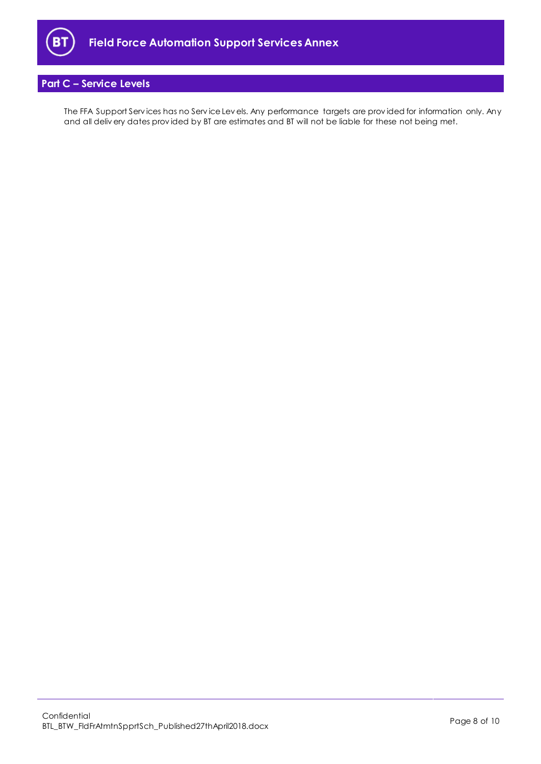

# <span id="page-7-0"></span>**Part C – Service Levels**

The FFA Support Serv ices has no Serv ice Lev els. Any performance targets are prov ided for information only. Any and all deliv ery dates prov ided by BT are estimates and BT will not be liable for these not being met.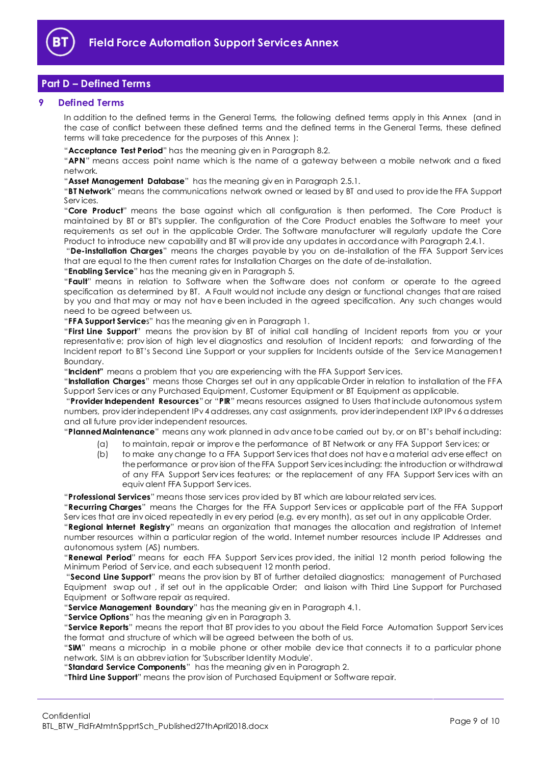

# <span id="page-8-0"></span>**Part D – Defined Terms**

## <span id="page-8-1"></span>**9 Defined Terms**

In addition to the defined terms in the General Terms, the following defined terms apply in this Annex (and in the case of conflict between these defined terms and the defined terms in the General Terms, these defined terms will take precedence for the purposes of this Annex ):

"**Acceptance Test Period**" has the meaning giv en in Paragraph 8.2.

"**APN**" means access point name which is the name of a gateway between a mobile network and a fixed network.

"**Asset Management Database**" has the meaning giv en in Paragraph 2.5.1.

"**BT Network**" means the communications network owned or leased by BT and used to prov ide the FFA Support Serv ices.

"**Core Product**" means the base against which all configuration is then performed. The Core Product is maintained by BT or BT's supplier. The configuration of the Core Product enables the Software to meet your requirements as set out in the applicable Order. The Software manufacturer will regularly update the Core Product to introduce new capability and BT will prov ide any updates in accordance with Paragraph 2.4.1.

"**De-installation Charges**" means the charges payable by you on de-installation of the FFA Support Serv ices that are equal to the then current rates for Installation Charges on the date of de-installation.

"**Enabling Service**" has the meaning giv en in Paragraph 5.

"**Fault**" means in relation to Software when the Software does not conform or operate to the agreed specification as determined by BT. A Fault would not include any design or functional changes that are raised by you and that may or may not hav e been included in the agreed specification. Any such changes would need to be agreed between us.

"**FFA Support Service**s" has the meaning giv en in Paragraph 1.

"**First Line Support**" means the prov ision by BT of initial call handling of Incident reports from you or your representativ e; prov ision of high lev el diagnostics and resolution of Incident reports; and forwarding of the Incident report to BT's Second Line Support or your suppliers for Incidents outside of the Serv ice Managemen t Boundary.

"**Incident"** means a problem that you are experiencing with the FFA Support Serv ices.

"**Installation Charges**" means those Charges set out in any applicable Order in relation to installation of the FFA Support Serv ices or any Purchased Equipment, Customer Equipment or BT Equipment as applicable.

"**Provider Independent Resources**" or "**PIR**" means resources assigned to Users that include autonomous system numbers, prov ider independent IPv 4 addresses, any cast assignments, prov ider independent IXP IPv 6 addresses and all future prov ider independent resources.

"**Planned Maintenance**" means any work planned in adv ance to be carried out by, or on BT's behalf including:

- (a) to maintain, repair or improv e the performance of BT Network or any FFA Support Serv ices; or
- (b) to make any change to a FFA Support Serv ices that does not hav e a material adv erse effect on the performance or prov ision of the FFA Support Serv icesincluding: the introduction or withdrawal of any FFA Support Serv ices features; or the replacement of any FFA Support Serv ices with an equiv alent FFA Support Serv ices.

"**Professional Services**" means those serv ices prov ided by BT which are labour related serv ices.

"**Recurring Charges**" means the Charges for the FFA Support Serv ices or applicable part of the FFA Support Serv ices that are inv oiced repeatedly in ev ery period (e.g. ev ery month), as set out in any applicable Order.

"**Regional Internet Registry**" means an organization that manages the allocation and registration of Internet number resources within a particular region of the world. Internet number resources include IP Addresses and autonomous system (AS) numbers.

"**Renewal Period**" means for each FFA Support Serv ices prov ided, the initial 12 month period following the Minimum Period of Serv ice, and each subsequent 12 month period.

"**Second Line Support**" means the prov ision by BT of further detailed diagnostics; management of Purchased Equipment swap out , if set out in the applicable Order; and liaison with Third Line Support for Purchased Equipment or Software repair as required.

"**Service Management Boundary**" has the meaning giv en in Paragraph 4.1.

"**Service Options**" has the meaning giv en in Paragraph 3.

"**Service Reports**" means the report that BT prov ides to you about the Field Force Automation Support Serv ices the format and structure of which will be agreed between the both of us.

"**SIM**" means a microchip in a mobile phone or other mobile dev ice that connects it to a particular phone network. SIM is an abbrev iation for 'Subscriber Identity Module'.

"**Standard Service Components**" has the meaning giv en in Paragraph 2.

"**Third Line Support**" means the prov ision of Purchased Equipment or Software repair.